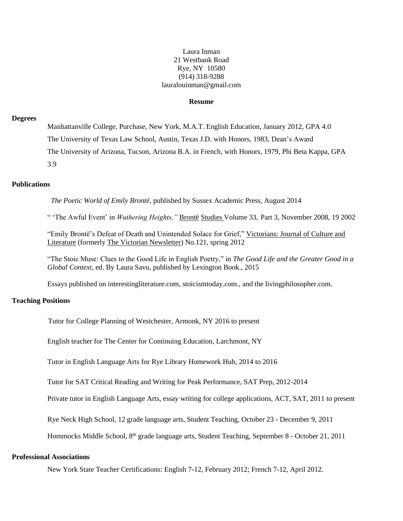#### Laura Inman 21 Westbank Road Rye, NY 10580 (914) 318-9288 lauralouinman@gmail.com

#### **Resume**

#### **Degrees**

Manhattanville College, Purchase, New York, M.A.T. English Education, January 2012, GPA 4.0 The University of Texas Law School, Austin, Texas J.D. with Honors, 1983, Dean's Award The University of Arizona, Tucson, Arizona B.A. in French, with Honors, 1979, Phi Beta Kappa, GPA 3.9

## **Publications**

*The Poetic World of Emily Brontë*, published by Sussex Academic Press, August 2014

" 'The Awful Event' in *Wuthering Heights,"* Brontë Studies Volume 33, Part 3, November 2008, 19 2002

"Emily Brontё's Defeat of Death and Unintended Solace for Grief," Victorians: Journal of Culture and Literature (formerly The Victorian Newsletter) No.121, spring 2012

"The Stoic Muse: Clues to the Good Life in English Poetry," in *The Good Life and the Greater Good in a Global Context*, ed. By Laura Savu, published by Lexington Book., 2015

Essays published on interestingliterature.com, stoicismtoday.com., and the livingphilosopher.com.

#### **Teaching Positions**

Tutor for College Planning of Westchester, Armonk, NY 2016 to present

English teacher for The Center for Continuing Education, Larchmont, NY

Tutor in English Language Arts for Rye Library Homework Hub, 2014 to 2016

Tutor for SAT Critical Reading and Writing for Peak Performance, SAT Prep, 2012-2014

Private tutor in English Language Arts, essay writing for college applications, ACT, SAT, 2011 to present

Rye Neck High School, 12 grade language arts, Student Teaching, October 23 - December 9, 2011

Hommocks Middle School, 8th grade language arts, Student Teaching, September 8 - October 21, 2011

#### **Professional Associations**

New York State Teacher Certifications: English 7-12, February 2012; French 7-12, April 2012.